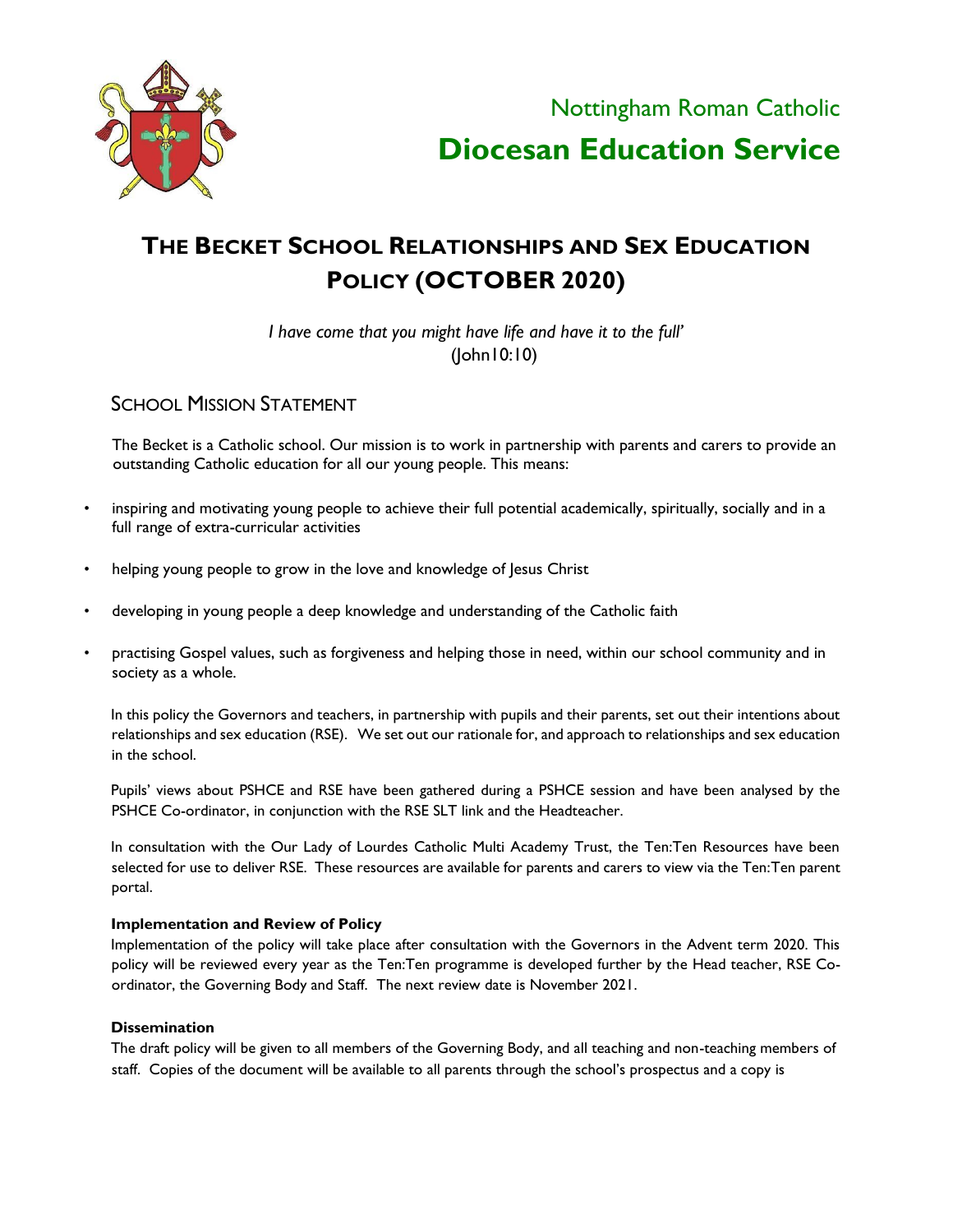

Nottingham Roman Catholic **Diocesan Education Service** 

# **THE BECKET SCHOOL RELATIONSHIPS AND SEX EDUCATION POLICY (OCTOBER 2020)**

*I have come that you might have life and have it to the full'* (John10:10)

**SCHOOL MISSION STATEMENT** 

The Becket is a Catholic school. Our mission is to work in partnership with parents and carers to provide an outstanding Catholic education for all our young people. This means:

- inspiring and motivating young people to achieve their full potential academically, spiritually, socially and in a full range of extra-curricular activities
- helping young people to grow in the love and knowledge of Jesus Christ
- developing in young people a deep knowledge and understanding of the Catholic faith
- practising Gospel values, such as forgiveness and helping those in need, within our school community and in society as a whole.

In this policy the Governors and teachers, in partnership with pupils and their parents, set out their intentions about relationships and sex education (RSE). We set out our rationale for, and approach to relationships and sex education in the school.

Pupils' views about PSHCE and RSE have been gathered during a PSHCE session and have been analysed by the PSHCE Co-ordinator, in conjunction with the RSE SLT link and the Headteacher.

In consultation with the Our Lady of Lourdes Catholic Multi Academy Trust, the Ten:Ten Resources have been selected for use to deliver RSE. These resources are available for parents and carers to view via the Ten:Ten parent portal.

#### **Implementation and Review of Policy**

Implementation of the policy will take place after consultation with the Governors in the Advent term 2020. This policy will be reviewed every year as the Ten:Ten programme is developed further by the Head teacher, RSE Coordinator, the Governing Body and Staff. The next review date is November 2021.

#### **Dissemination**

The draft policy will be given to all members of the Governing Body, and all teaching and non-teaching members of staff. Copies of the document will be available to all parents through the school's prospectus and a copy is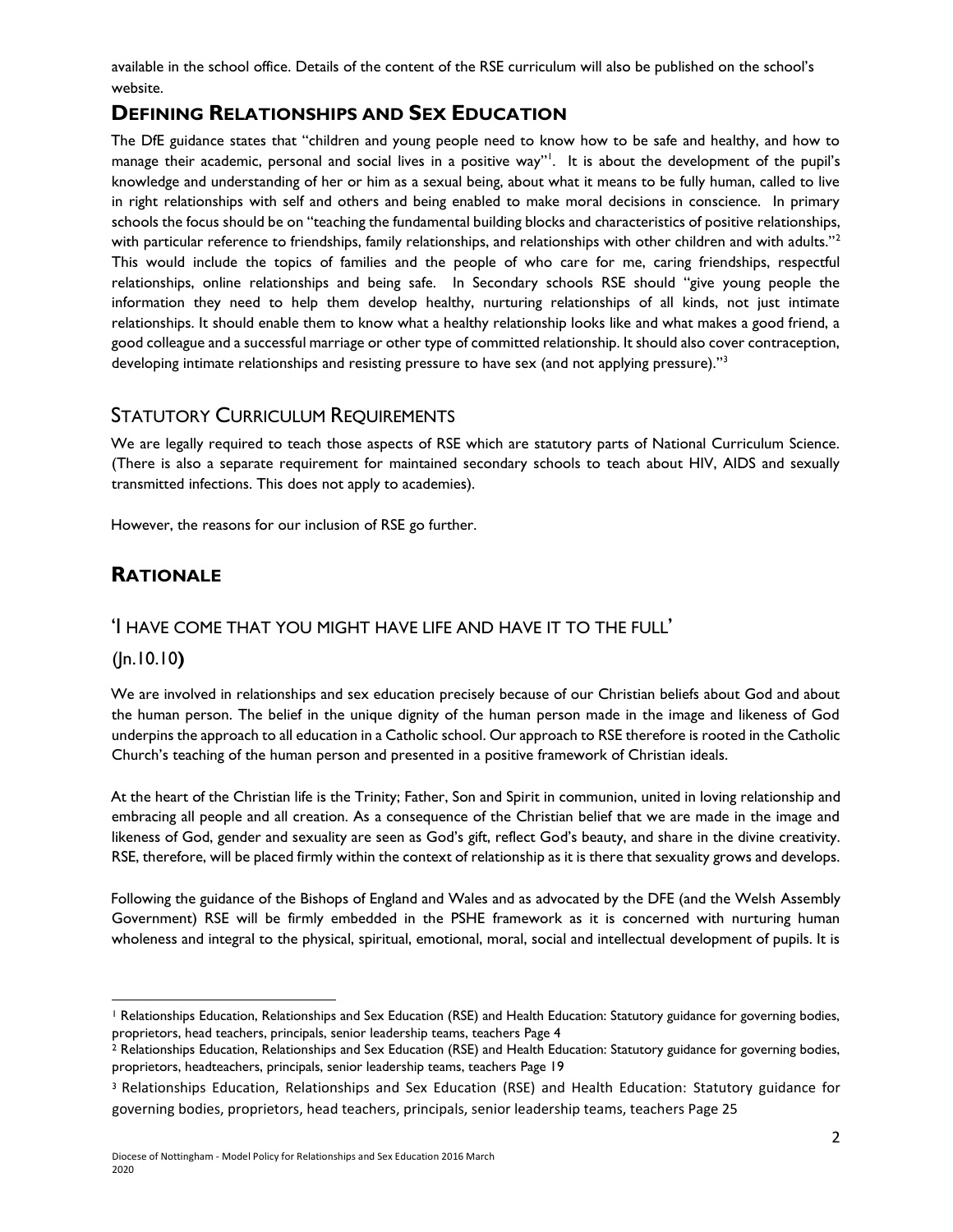available in the school office. Details of the content of the RSE curriculum will also be published on the school's website.

# **DEFINING RELATIONSHIPS AND SEX EDUCATION**

The DfE guidance states that "children and young people need to know how to be safe and healthy, and how to manage their academic, personal and social lives in a positive way"<sup>1</sup>. It is about the development of the pupil's knowledge and understanding of her or him as a sexual being, about what it means to be fully human, called to live in right relationships with self and others and being enabled to make moral decisions in conscience. In primary schools the focus should be on "teaching the fundamental building blocks and characteristics of positive relationships, with particular reference to friendships, family relationships, and relationships with other children and with adults."<sup>2</sup> This would include the topics of families and the people of who care for me, caring friendships, respectful relationships, online relationships and being safe. In Secondary schools RSE should "give young people the information they need to help them develop healthy, nurturing relationships of all kinds, not just intimate relationships. It should enable them to know what a healthy relationship looks like and what makes a good friend, a good colleague and a successful marriage or other type of committed relationship. It should also cover contraception, developing intimate relationships and resisting pressure to have sex (and not applying pressure)."<sup>3</sup>

# STATUTORY CURRICULUM REQUIREMENTS

We are legally required to teach those aspects of RSE which are statutory parts of National Curriculum Science. (There is also a separate requirement for maintained secondary schools to teach about HIV, AIDS and sexually transmitted infections. This does not apply to academies).

However, the reasons for our inclusion of RSE go further.

# **RATIONALE**

### 'I HAVE COME THAT YOU MIGHT HAVE LIFE AND HAVE IT TO THE FULL'

### (Jn.10.10**)**

l

We are involved in relationships and sex education precisely because of our Christian beliefs about God and about the human person. The belief in the unique dignity of the human person made in the image and likeness of God underpins the approach to all education in a Catholic school. Our approach to RSE therefore is rooted in the Catholic Church's teaching of the human person and presented in a positive framework of Christian ideals.

At the heart of the Christian life is the Trinity; Father, Son and Spirit in communion, united in loving relationship and embracing all people and all creation. As a consequence of the Christian belief that we are made in the image and likeness of God, gender and sexuality are seen as God's gift, reflect God's beauty, and share in the divine creativity. RSE, therefore, will be placed firmly within the context of relationship as it is there that sexuality grows and develops.

Following the guidance of the Bishops of England and Wales and as advocated by the DFE (and the Welsh Assembly Government) RSE will be firmly embedded in the PSHE framework as it is concerned with nurturing human wholeness and integral to the physical, spiritual, emotional, moral, social and intellectual development of pupils. It is

<sup>&</sup>lt;sup>1</sup> Relationships Education, Relationships and Sex Education (RSE) and Health Education: Statutory guidance for governing bodies, proprietors, head teachers, principals, senior leadership teams, teachers Page 4

<sup>2</sup> Relationships Education, Relationships and Sex Education (RSE) and Health Education: Statutory guidance for governing bodies, proprietors, headteachers, principals, senior leadership teams, teachers Page 19

<sup>3</sup> Relationships Education, Relationships and Sex Education (RSE) and Health Education: Statutory guidance for governing bodies, proprietors, head teachers, principals, senior leadership teams, teachers Page 25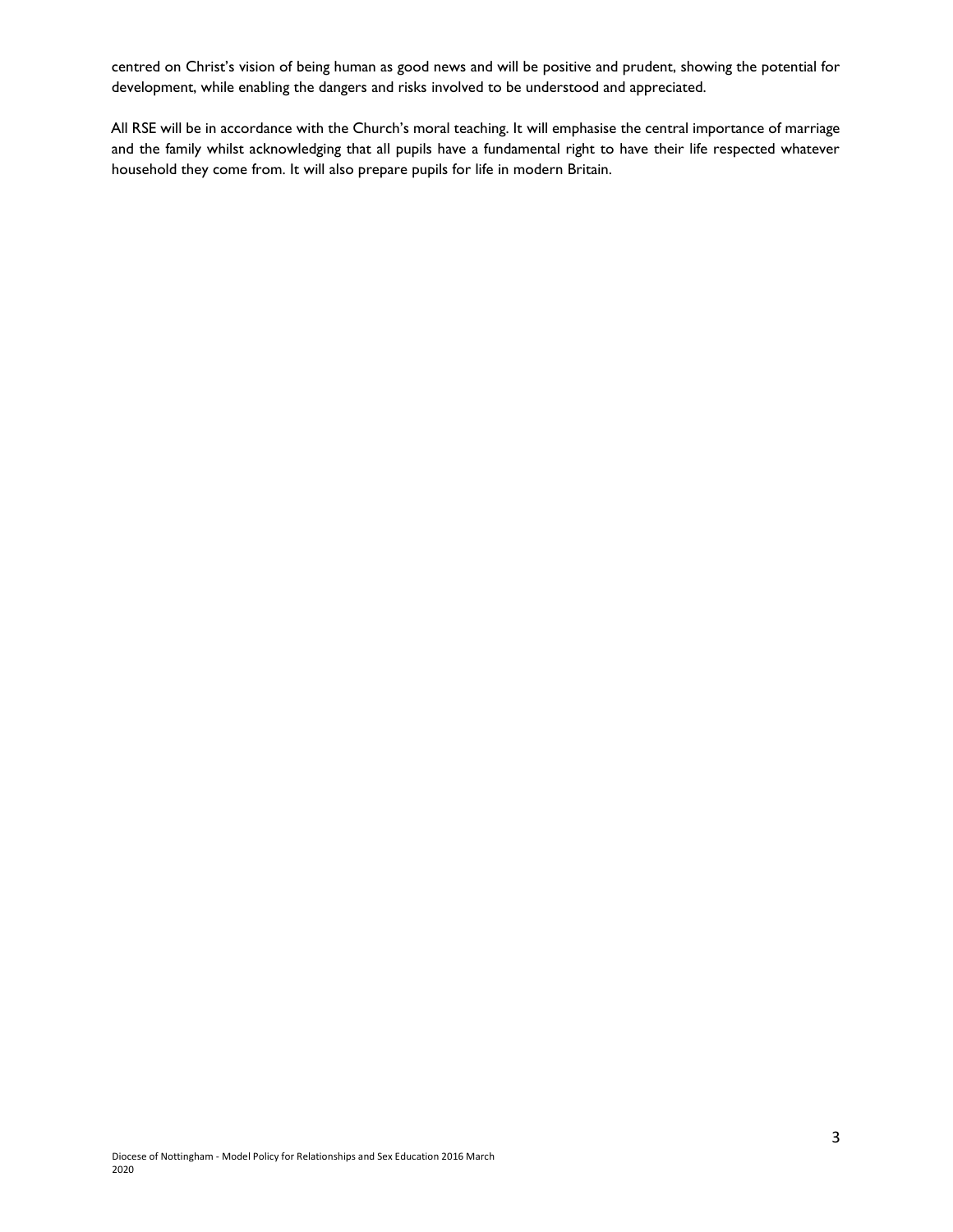centred on Christ's vision of being human as good news and will be positive and prudent, showing the potential for development, while enabling the dangers and risks involved to be understood and appreciated.

All RSE will be in accordance with the Church's moral teaching. It will emphasise the central importance of marriage and the family whilst acknowledging that all pupils have a fundamental right to have their life respected whatever household they come from. It will also prepare pupils for life in modern Britain.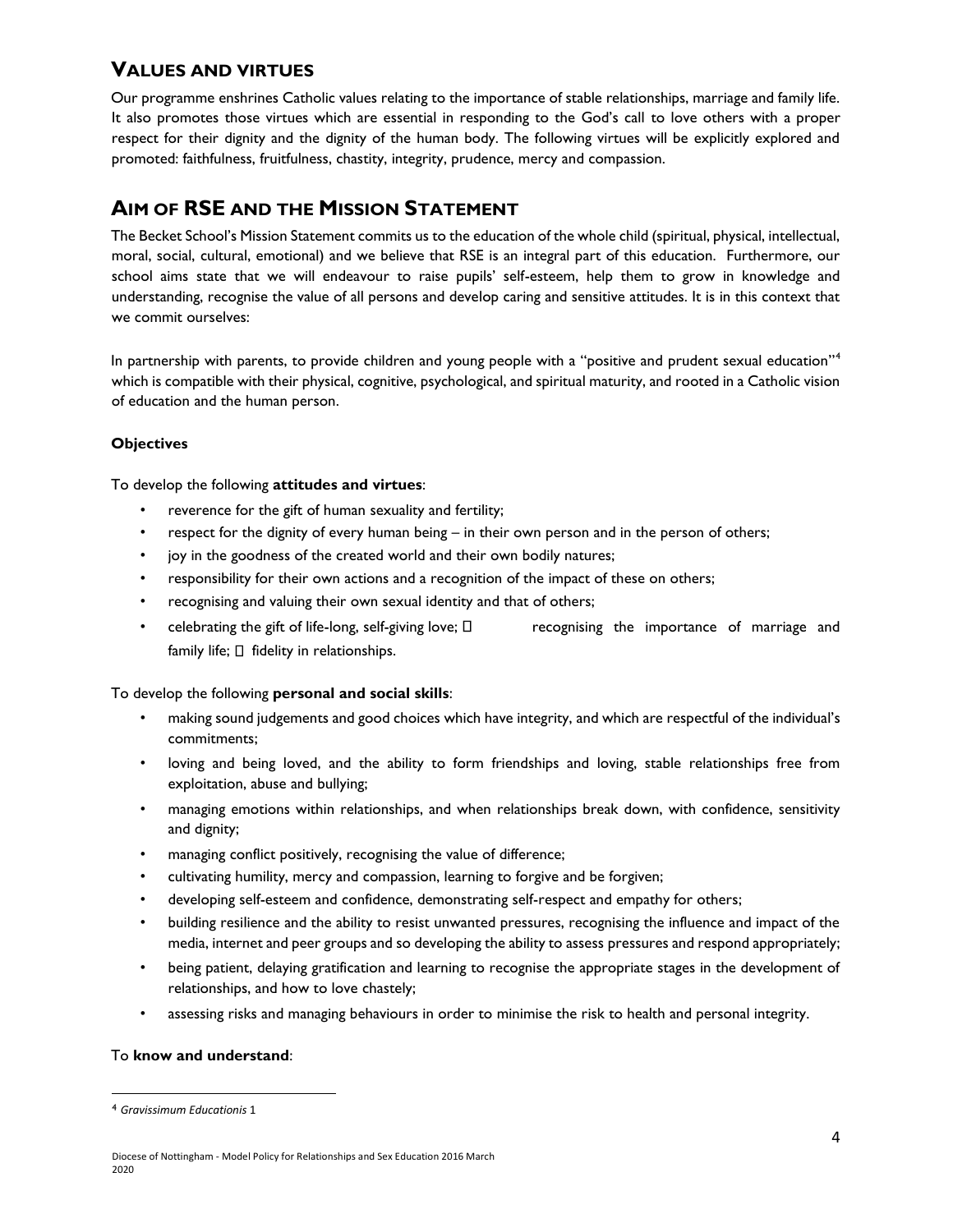# **VALUES AND VIRTUES**

Our programme enshrines Catholic values relating to the importance of stable relationships, marriage and family life. It also promotes those virtues which are essential in responding to the God's call to love others with a proper respect for their dignity and the dignity of the human body. The following virtues will be explicitly explored and promoted: faithfulness, fruitfulness, chastity, integrity, prudence, mercy and compassion.

# **AIM OF RSE AND THE MISSION STATEMENT**

The Becket School's Mission Statement commits us to the education of the whole child (spiritual, physical, intellectual, moral, social, cultural, emotional) and we believe that RSE is an integral part of this education. Furthermore, our school aims state that we will endeavour to raise pupils' self-esteem, help them to grow in knowledge and understanding, recognise the value of all persons and develop caring and sensitive attitudes. It is in this context that we commit ourselves:

In partnership with parents, to provide children and young people with a "positive and prudent sexual education"<sup>4</sup> which is compatible with their physical, cognitive, psychological, and spiritual maturity, and rooted in a Catholic vision of education and the human person.

#### **Objectives**

To develop the following **attitudes and virtues**:

- reverence for the gift of human sexuality and fertility;
- respect for the dignity of every human being in their own person and in the person of others;
- joy in the goodness of the created world and their own bodily natures;
- responsibility for their own actions and a recognition of the impact of these on others;
- recognising and valuing their own sexual identity and that of others;
- celebrating the gift of life-long, self-giving love;  $\Box$  recognising the importance of marriage and family life;  $\Box$  fidelity in relationships.

To develop the following **personal and social skills**:

- making sound judgements and good choices which have integrity, and which are respectful of the individual's commitments;
- loving and being loved, and the ability to form friendships and loving, stable relationships free from exploitation, abuse and bullying;
- managing emotions within relationships, and when relationships break down, with confidence, sensitivity and dignity;
- managing conflict positively, recognising the value of difference;
- cultivating humility, mercy and compassion, learning to forgive and be forgiven;
- developing self-esteem and confidence, demonstrating self-respect and empathy for others;
- building resilience and the ability to resist unwanted pressures, recognising the influence and impact of the media, internet and peer groups and so developing the ability to assess pressures and respond appropriately;
- being patient, delaying gratification and learning to recognise the appropriate stages in the development of relationships, and how to love chastely;
- assessing risks and managing behaviours in order to minimise the risk to health and personal integrity.

#### To **know and understand**:

l

<sup>4</sup> *Gravissimum Educationis* 1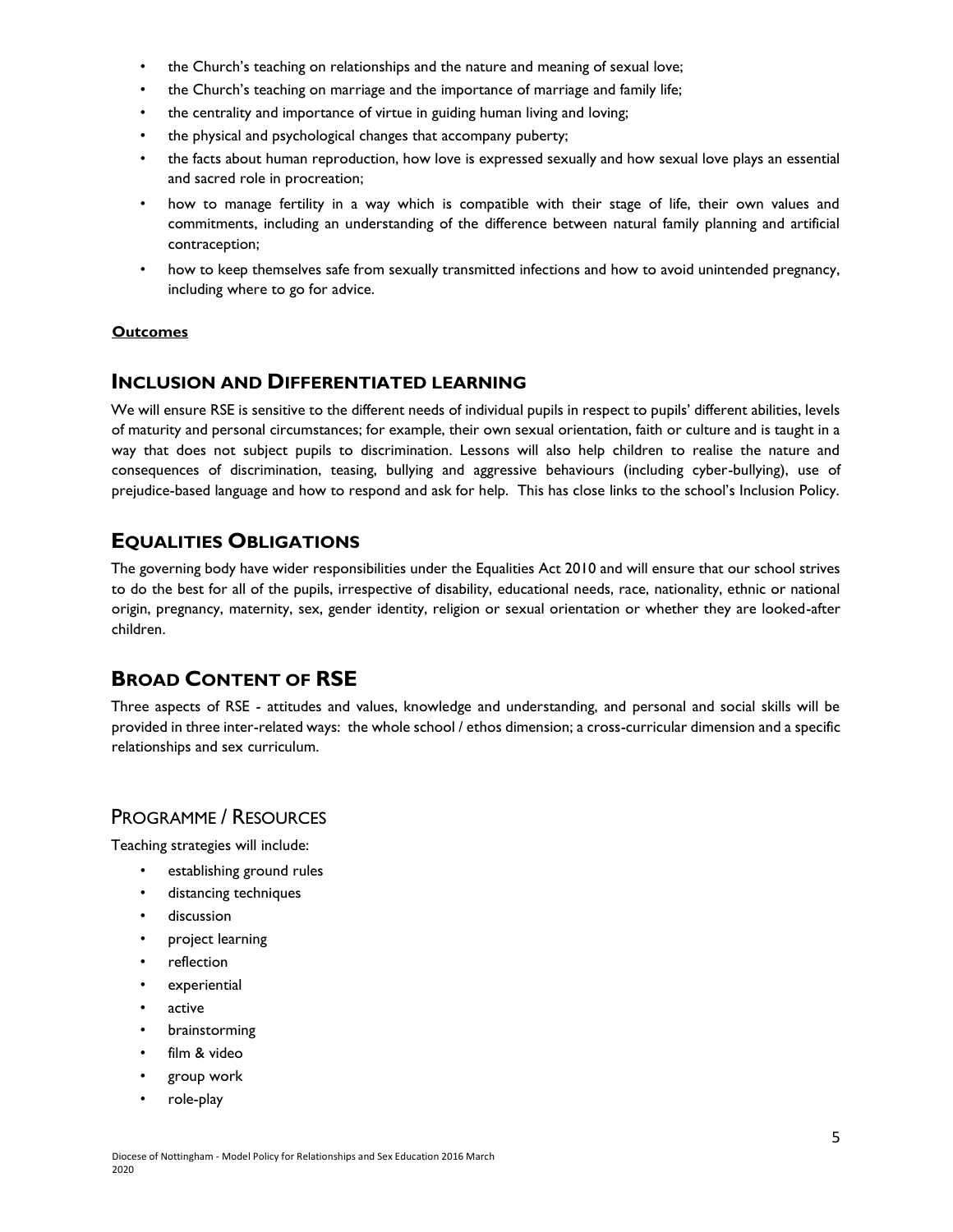- the Church's teaching on relationships and the nature and meaning of sexual love;
- the Church's teaching on marriage and the importance of marriage and family life;
- the centrality and importance of virtue in guiding human living and loving;
- the physical and psychological changes that accompany puberty;
- the facts about human reproduction, how love is expressed sexually and how sexual love plays an essential and sacred role in procreation;
- how to manage fertility in a way which is compatible with their stage of life, their own values and commitments, including an understanding of the difference between natural family planning and artificial contraception;
- how to keep themselves safe from sexually transmitted infections and how to avoid unintended pregnancy, including where to go for advice.

#### **Outcomes**

#### **INCLUSION AND DIFFERENTIATED LEARNING**

We will ensure RSE is sensitive to the different needs of individual pupils in respect to pupils' different abilities, levels of maturity and personal circumstances; for example, their own sexual orientation, faith or culture and is taught in a way that does not subject pupils to discrimination. Lessons will also help children to realise the nature and consequences of discrimination, teasing, bullying and aggressive behaviours (including cyber-bullying), use of prejudice-based language and how to respond and ask for help. This has close links to the school's Inclusion Policy.

# **EQUALITIES OBLIGATIONS**

The governing body have wider responsibilities under the Equalities Act 2010 and will ensure that our school strives to do the best for all of the pupils, irrespective of disability, educational needs, race, nationality, ethnic or national origin, pregnancy, maternity, sex, gender identity, religion or sexual orientation or whether they are looked-after children.

# **BROAD CONTENT OF RSE**

Three aspects of RSE - attitudes and values, knowledge and understanding, and personal and social skills will be provided in three inter-related ways: the whole school / ethos dimension; a cross-curricular dimension and a specific relationships and sex curriculum.

### PROGRAMME / RESOURCES

Teaching strategies will include:

- establishing ground rules
- distancing techniques
- discussion
- project learning
- reflection
- experiential
- active
- brainstorming
- film & video
- group work
- role-play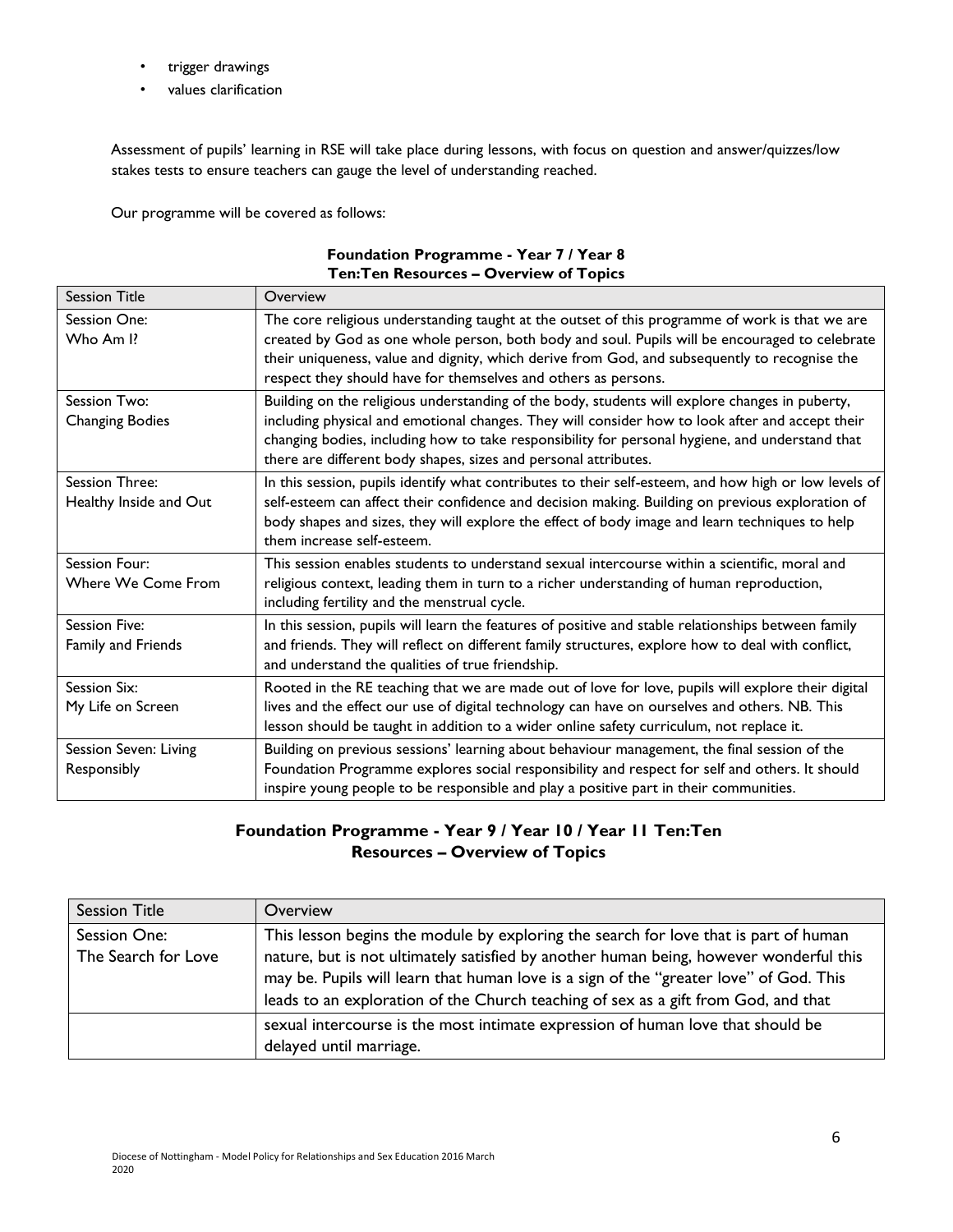- trigger drawings
- values clarification

Assessment of pupils' learning in RSE will take place during lessons, with focus on question and answer/quizzes/low stakes tests to ensure teachers can gauge the level of understanding reached.

Our programme will be covered as follows:

| Foundation Programme - Year 7 / Year 8         |
|------------------------------------------------|
| <b>Ten: Ten Resources - Overview of Topics</b> |

| <b>Session Title</b>   | Overview                                                                                                                                                                                           |
|------------------------|----------------------------------------------------------------------------------------------------------------------------------------------------------------------------------------------------|
| Session One:           | The core religious understanding taught at the outset of this programme of work is that we are                                                                                                     |
| Who Am I?              | created by God as one whole person, both body and soul. Pupils will be encouraged to celebrate                                                                                                     |
|                        | their uniqueness, value and dignity, which derive from God, and subsequently to recognise the<br>respect they should have for themselves and others as persons.                                    |
| Session Two:           | Building on the religious understanding of the body, students will explore changes in puberty,                                                                                                     |
| <b>Changing Bodies</b> | including physical and emotional changes. They will consider how to look after and accept their                                                                                                    |
|                        | changing bodies, including how to take responsibility for personal hygiene, and understand that                                                                                                    |
|                        | there are different body shapes, sizes and personal attributes.                                                                                                                                    |
| Session Three:         | In this session, pupils identify what contributes to their self-esteem, and how high or low levels of                                                                                              |
| Healthy Inside and Out | self-esteem can affect their confidence and decision making. Building on previous exploration of<br>body shapes and sizes, they will explore the effect of body image and learn techniques to help |
|                        | them increase self-esteem.                                                                                                                                                                         |
| Session Four:          | This session enables students to understand sexual intercourse within a scientific, moral and                                                                                                      |
| Where We Come From     | religious context, leading them in turn to a richer understanding of human reproduction,<br>including fertility and the menstrual cycle.                                                           |
| Session Five:          | In this session, pupils will learn the features of positive and stable relationships between family                                                                                                |
| Family and Friends     | and friends. They will reflect on different family structures, explore how to deal with conflict,                                                                                                  |
|                        | and understand the qualities of true friendship.                                                                                                                                                   |
| Session Six:           | Rooted in the RE teaching that we are made out of love for love, pupils will explore their digital                                                                                                 |
| My Life on Screen      | lives and the effect our use of digital technology can have on ourselves and others. NB. This                                                                                                      |
|                        | lesson should be taught in addition to a wider online safety curriculum, not replace it.                                                                                                           |
| Session Seven: Living  | Building on previous sessions' learning about behaviour management, the final session of the                                                                                                       |
| Responsibly            | Foundation Programme explores social responsibility and respect for self and others. It should                                                                                                     |
|                        | inspire young people to be responsible and play a positive part in their communities.                                                                                                              |

### **Foundation Programme - Year 9 / Year 10 / Year 11 Ten:Ten Resources – Overview of Topics**

| <b>Session Title</b> | Overview                                                                               |
|----------------------|----------------------------------------------------------------------------------------|
| Session One:         | This lesson begins the module by exploring the search for love that is part of human   |
| The Search for Love  | nature, but is not ultimately satisfied by another human being, however wonderful this |
|                      | may be. Pupils will learn that human love is a sign of the "greater love" of God. This |
|                      | leads to an exploration of the Church teaching of sex as a gift from God, and that     |
|                      | sexual intercourse is the most intimate expression of human love that should be        |
|                      | delayed until marriage.                                                                |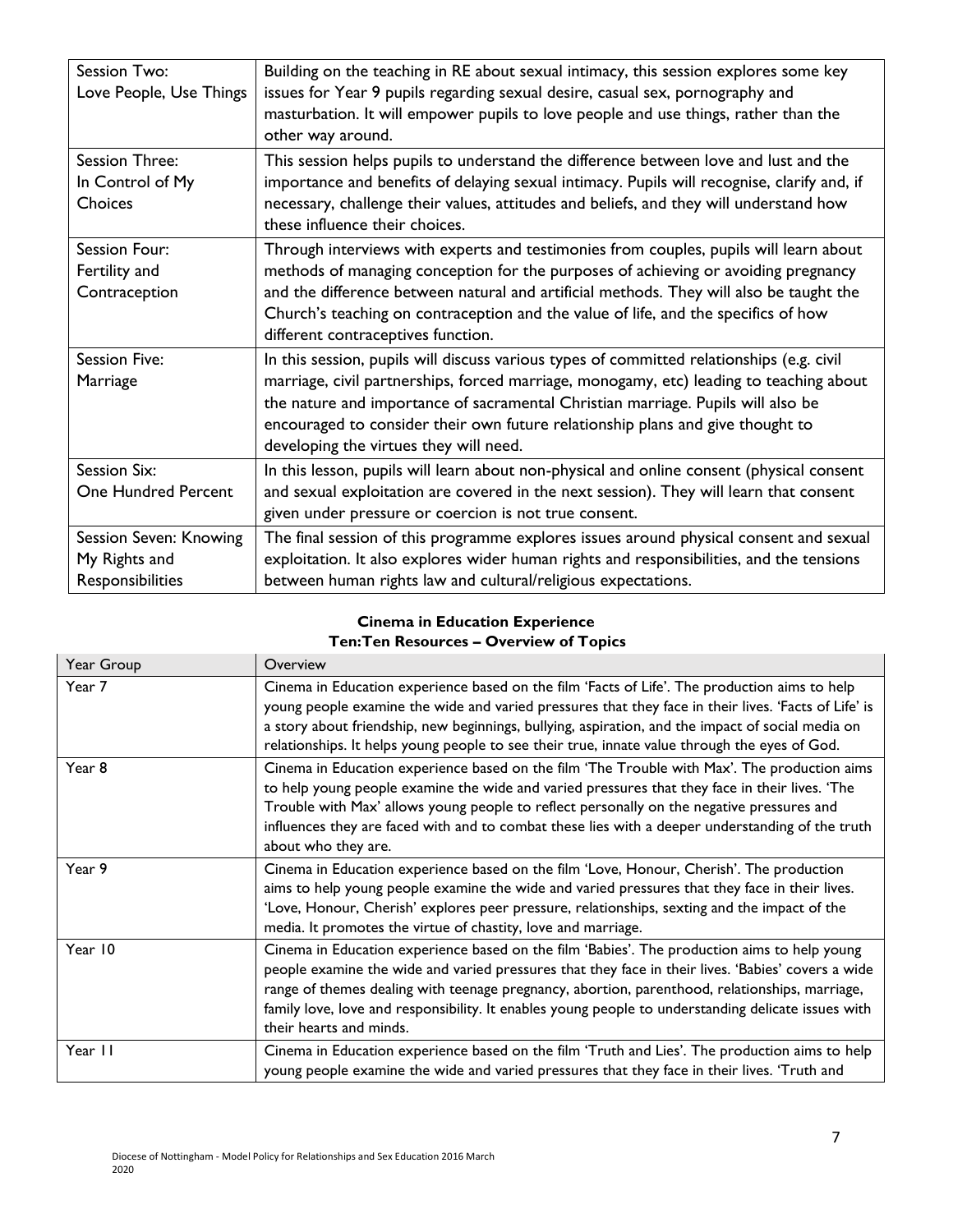| Session Two:               | Building on the teaching in RE about sexual intimacy, this session explores some key        |
|----------------------------|---------------------------------------------------------------------------------------------|
| Love People, Use Things    | issues for Year 9 pupils regarding sexual desire, casual sex, pornography and               |
|                            | masturbation. It will empower pupils to love people and use things, rather than the         |
|                            | other way around.                                                                           |
| Session Three:             | This session helps pupils to understand the difference between love and lust and the        |
| In Control of My           | importance and benefits of delaying sexual intimacy. Pupils will recognise, clarify and, if |
| Choices                    | necessary, challenge their values, attitudes and beliefs, and they will understand how      |
|                            | these influence their choices.                                                              |
| Session Four:              | Through interviews with experts and testimonies from couples, pupils will learn about       |
| Fertility and              | methods of managing conception for the purposes of achieving or avoiding pregnancy          |
| Contraception              | and the difference between natural and artificial methods. They will also be taught the     |
|                            | Church's teaching on contraception and the value of life, and the specifics of how          |
|                            | different contraceptives function.                                                          |
| <b>Session Five:</b>       | In this session, pupils will discuss various types of committed relationships (e.g. civil   |
| Marriage                   | marriage, civil partnerships, forced marriage, monogamy, etc) leading to teaching about     |
|                            | the nature and importance of sacramental Christian marriage. Pupils will also be            |
|                            | encouraged to consider their own future relationship plans and give thought to              |
|                            | developing the virtues they will need.                                                      |
| Session Six:               | In this lesson, pupils will learn about non-physical and online consent (physical consent   |
| <b>One Hundred Percent</b> | and sexual exploitation are covered in the next session). They will learn that consent      |
|                            | given under pressure or coercion is not true consent.                                       |
| Session Seven: Knowing     | The final session of this programme explores issues around physical consent and sexual      |
| My Rights and              | exploitation. It also explores wider human rights and responsibilities, and the tensions    |
| Responsibilities           | between human rights law and cultural/religious expectations.                               |

#### **Cinema in Education Experience Ten:Ten Resources – Overview of Topics**

| Year Group | Overview                                                                                                                                                                                                                                                                                                                                                                                                                               |
|------------|----------------------------------------------------------------------------------------------------------------------------------------------------------------------------------------------------------------------------------------------------------------------------------------------------------------------------------------------------------------------------------------------------------------------------------------|
| Year 7     | Cinema in Education experience based on the film 'Facts of Life'. The production aims to help<br>young people examine the wide and varied pressures that they face in their lives. 'Facts of Life' is<br>a story about friendship, new beginnings, bullying, aspiration, and the impact of social media on<br>relationships. It helps young people to see their true, innate value through the eyes of God.                            |
| Year 8     | Cinema in Education experience based on the film 'The Trouble with Max'. The production aims<br>to help young people examine the wide and varied pressures that they face in their lives. 'The<br>Trouble with Max' allows young people to reflect personally on the negative pressures and<br>influences they are faced with and to combat these lies with a deeper understanding of the truth<br>about who they are.                 |
| Year 9     | Cinema in Education experience based on the film 'Love, Honour, Cherish'. The production<br>aims to help young people examine the wide and varied pressures that they face in their lives.<br>'Love, Honour, Cherish' explores peer pressure, relationships, sexting and the impact of the<br>media. It promotes the virtue of chastity, love and marriage.                                                                            |
| Year 10    | Cinema in Education experience based on the film 'Babies'. The production aims to help young<br>people examine the wide and varied pressures that they face in their lives. 'Babies' covers a wide<br>range of themes dealing with teenage pregnancy, abortion, parenthood, relationships, marriage,<br>family love, love and responsibility. It enables young people to understanding delicate issues with<br>their hearts and minds. |
| Year II    | Cinema in Education experience based on the film 'Truth and Lies'. The production aims to help<br>young people examine the wide and varied pressures that they face in their lives. 'Truth and                                                                                                                                                                                                                                         |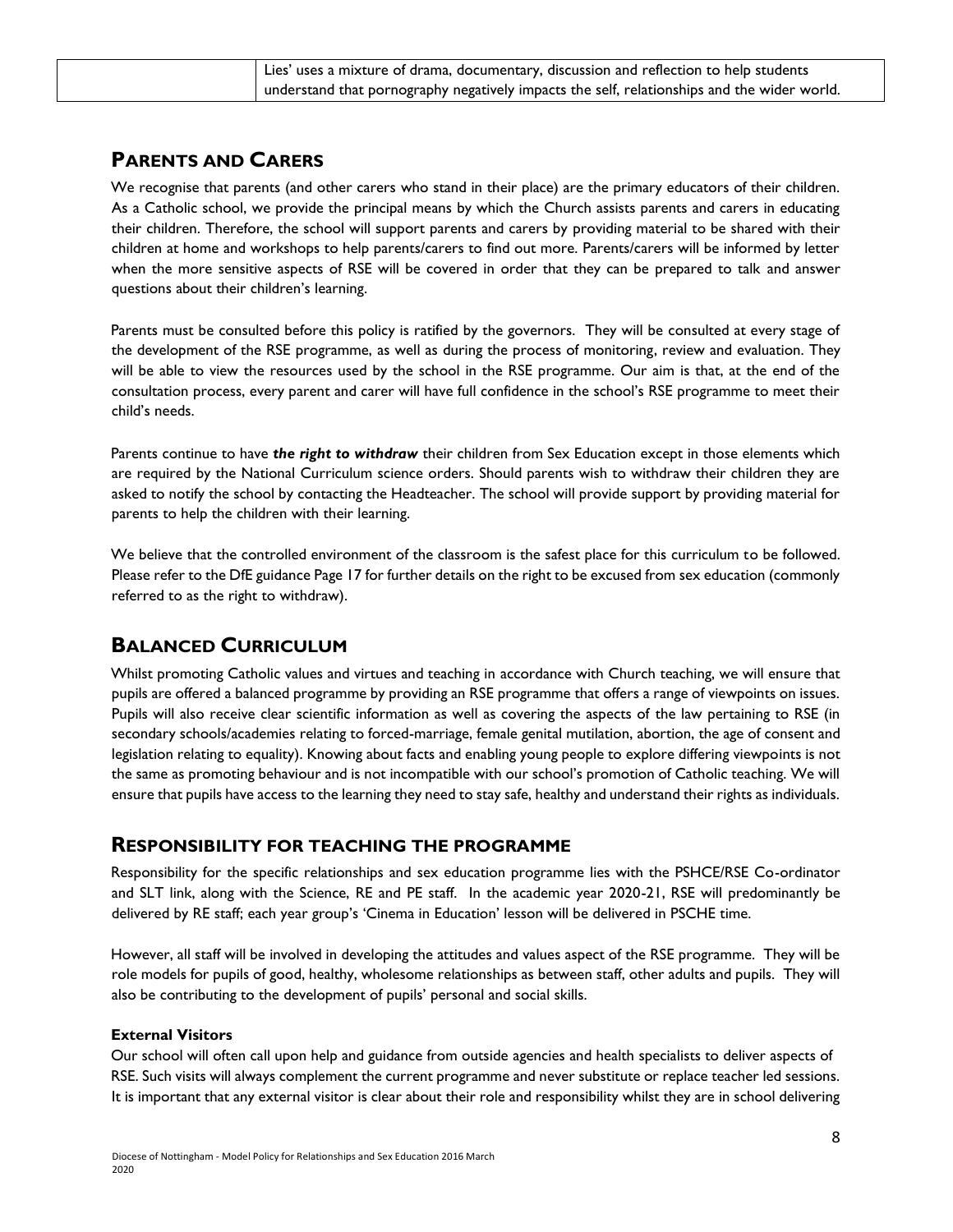| Lies' uses a mixture of drama, documentary, discussion and reflection to help students      |
|---------------------------------------------------------------------------------------------|
| understand that pornography negatively impacts the self, relationships and the wider world. |

# **PARENTS AND CARERS**

We recognise that parents (and other carers who stand in their place) are the primary educators of their children. As a Catholic school, we provide the principal means by which the Church assists parents and carers in educating their children. Therefore, the school will support parents and carers by providing material to be shared with their children at home and workshops to help parents/carers to find out more. Parents/carers will be informed by letter when the more sensitive aspects of RSE will be covered in order that they can be prepared to talk and answer questions about their children's learning.

Parents must be consulted before this policy is ratified by the governors. They will be consulted at every stage of the development of the RSE programme, as well as during the process of monitoring, review and evaluation. They will be able to view the resources used by the school in the RSE programme. Our aim is that, at the end of the consultation process, every parent and carer will have full confidence in the school's RSE programme to meet their child's needs.

Parents continue to have *the right to withdraw* their children from Sex Education except in those elements which are required by the National Curriculum science orders. Should parents wish to withdraw their children they are asked to notify the school by contacting the Headteacher. The school will provide support by providing material for parents to help the children with their learning.

We believe that the controlled environment of the classroom is the safest place for this curriculum to be followed. Please refer to the DfE guidance Page 17 for further details on the right to be excused from sex education (commonly referred to as the right to withdraw).

# **BALANCED CURRICULUM**

Whilst promoting Catholic values and virtues and teaching in accordance with Church teaching, we will ensure that pupils are offered a balanced programme by providing an RSE programme that offers a range of viewpoints on issues. Pupils will also receive clear scientific information as well as covering the aspects of the law pertaining to RSE (in secondary schools/academies relating to forced-marriage, female genital mutilation, abortion, the age of consent and legislation relating to equality). Knowing about facts and enabling young people to explore differing viewpoints is not the same as promoting behaviour and is not incompatible with our school's promotion of Catholic teaching. We will ensure that pupils have access to the learning they need to stay safe, healthy and understand their rights as individuals.

### **RESPONSIBILITY FOR TEACHING THE PROGRAMME**

Responsibility for the specific relationships and sex education programme lies with the PSHCE/RSE Co-ordinator and SLT link, along with the Science, RE and PE staff. In the academic year 2020-21, RSE will predominantly be delivered by RE staff; each year group's 'Cinema in Education' lesson will be delivered in PSCHE time.

However, all staff will be involved in developing the attitudes and values aspect of the RSE programme. They will be role models for pupils of good, healthy, wholesome relationships as between staff, other adults and pupils. They will also be contributing to the development of pupils' personal and social skills.

#### **External Visitors**

Our school will often call upon help and guidance from outside agencies and health specialists to deliver aspects of RSE. Such visits will always complement the current programme and never substitute or replace teacher led sessions. It is important that any external visitor is clear about their role and responsibility whilst they are in school delivering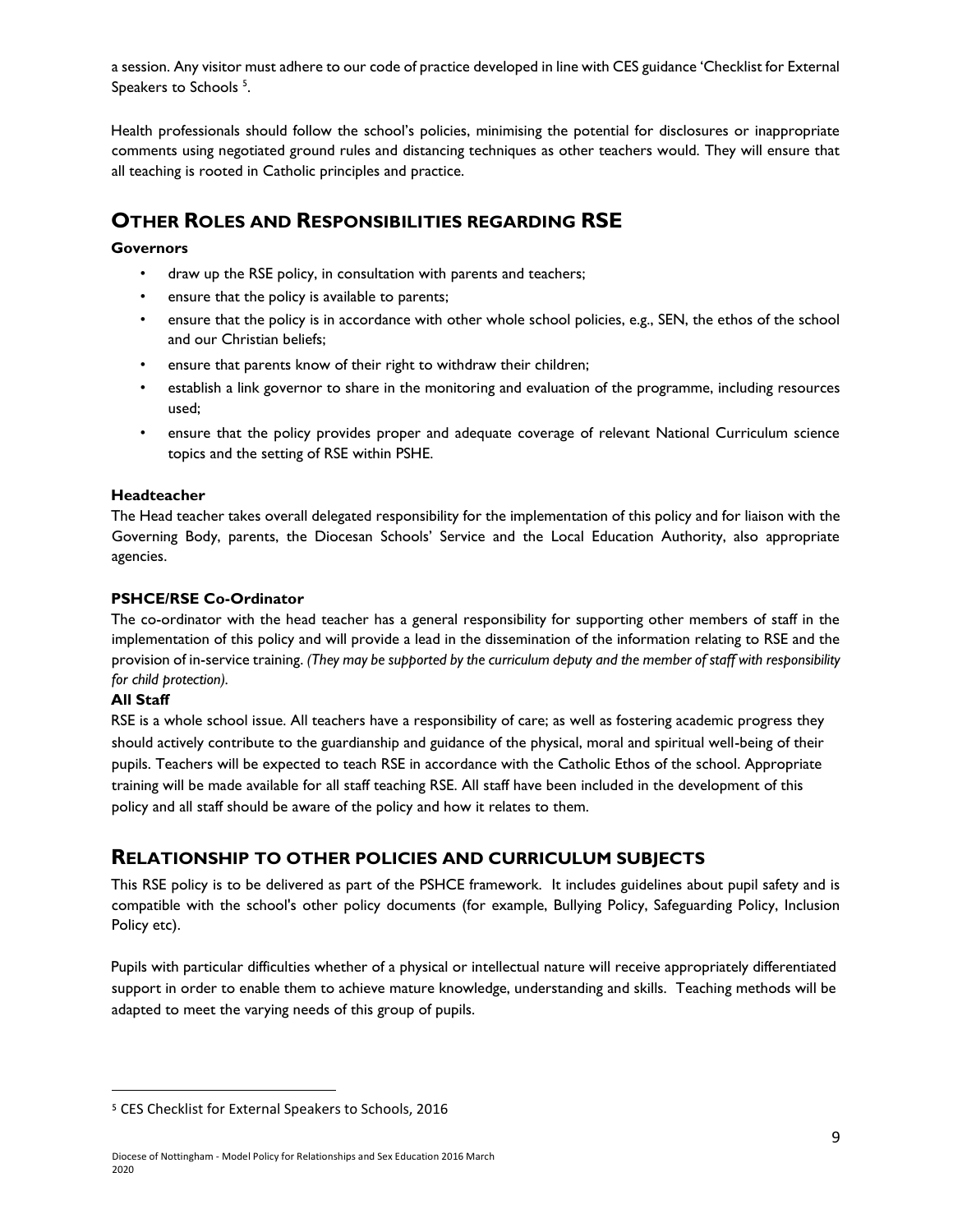a session. Any visitor must adhere to our code of practice developed in line with CES guidance 'Checklist for External Speakers to Schools<sup>5</sup>.

Health professionals should follow the school's policies, minimising the potential for disclosures or inappropriate comments using negotiated ground rules and distancing techniques as other teachers would. They will ensure that all teaching is rooted in Catholic principles and practice.

# **OTHER ROLES AND RESPONSIBILITIES REGARDING RSE**

#### **Governors**

- draw up the RSE policy, in consultation with parents and teachers;
- ensure that the policy is available to parents;
- ensure that the policy is in accordance with other whole school policies, e.g., SEN, the ethos of the school and our Christian beliefs;
- ensure that parents know of their right to withdraw their children;
- establish a link governor to share in the monitoring and evaluation of the programme, including resources used;
- ensure that the policy provides proper and adequate coverage of relevant National Curriculum science topics and the setting of RSE within PSHE.

#### **Headteacher**

The Head teacher takes overall delegated responsibility for the implementation of this policy and for liaison with the Governing Body, parents, the Diocesan Schools' Service and the Local Education Authority, also appropriate agencies.

#### **PSHCE/RSE Co-Ordinator**

The co-ordinator with the head teacher has a general responsibility for supporting other members of staff in the implementation of this policy and will provide a lead in the dissemination of the information relating to RSE and the provision of in-service training. *(They may be supported by the curriculum deputy and the member of staff with responsibility for child protection).* 

#### **All Staff**

l

RSE is a whole school issue. All teachers have a responsibility of care; as well as fostering academic progress they should actively contribute to the guardianship and guidance of the physical, moral and spiritual well-being of their pupils. Teachers will be expected to teach RSE in accordance with the Catholic Ethos of the school. Appropriate training will be made available for all staff teaching RSE. All staff have been included in the development of this policy and all staff should be aware of the policy and how it relates to them.

### **RELATIONSHIP TO OTHER POLICIES AND CURRICULUM SUBJECTS**

This RSE policy is to be delivered as part of the PSHCE framework. It includes guidelines about pupil safety and is compatible with the school's other policy documents (for example, Bullying Policy, Safeguarding Policy, Inclusion Policy etc).

Pupils with particular difficulties whether of a physical or intellectual nature will receive appropriately differentiated support in order to enable them to achieve mature knowledge, understanding and skills. Teaching methods will be adapted to meet the varying needs of this group of pupils.

<sup>5</sup> CES Checklist for External Speakers to Schools, 2016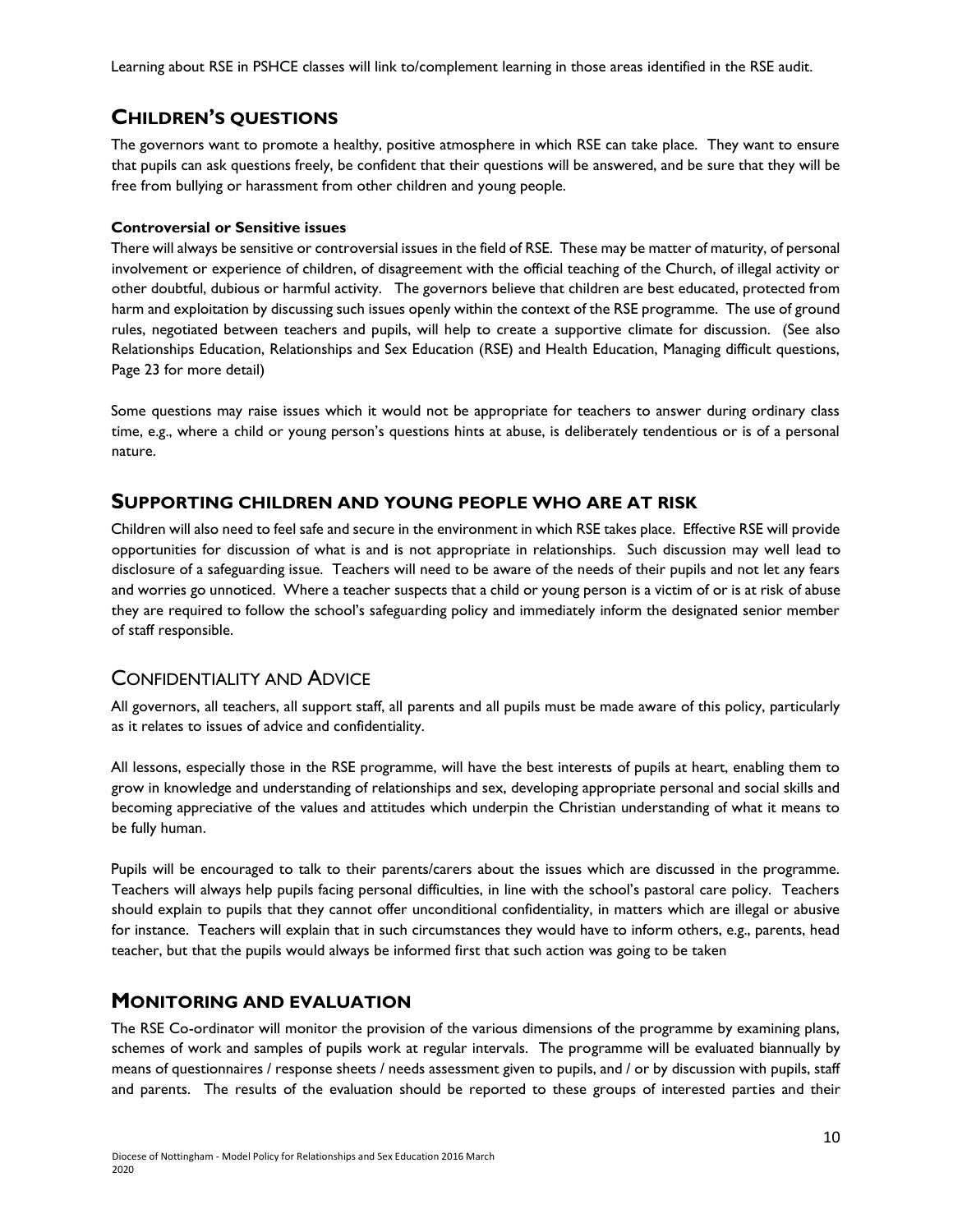Learning about RSE in PSHCE classes will link to/complement learning in those areas identified in the RSE audit.

# **CHILDREN'S QUESTIONS**

The governors want to promote a healthy, positive atmosphere in which RSE can take place. They want to ensure that pupils can ask questions freely, be confident that their questions will be answered, and be sure that they will be free from bullying or harassment from other children and young people.

#### **Controversial or Sensitive issues**

There will always be sensitive or controversial issues in the field of RSE. These may be matter of maturity, of personal involvement or experience of children, of disagreement with the official teaching of the Church, of illegal activity or other doubtful, dubious or harmful activity. The governors believe that children are best educated, protected from harm and exploitation by discussing such issues openly within the context of the RSE programme. The use of ground rules, negotiated between teachers and pupils, will help to create a supportive climate for discussion. (See also Relationships Education, Relationships and Sex Education (RSE) and Health Education, Managing difficult questions, Page 23 for more detail)

Some questions may raise issues which it would not be appropriate for teachers to answer during ordinary class time, e.g., where a child or young person's questions hints at abuse, is deliberately tendentious or is of a personal nature.

### **SUPPORTING CHILDREN AND YOUNG PEOPLE WHO ARE AT RISK**

Children will also need to feel safe and secure in the environment in which RSE takes place. Effective RSE will provide opportunities for discussion of what is and is not appropriate in relationships. Such discussion may well lead to disclosure of a safeguarding issue. Teachers will need to be aware of the needs of their pupils and not let any fears and worries go unnoticed. Where a teacher suspects that a child or young person is a victim of or is at risk of abuse they are required to follow the school's safeguarding policy and immediately inform the designated senior member of staff responsible.

### CONFIDENTIALITY AND ADVICE

All governors, all teachers, all support staff, all parents and all pupils must be made aware of this policy, particularly as it relates to issues of advice and confidentiality.

All lessons, especially those in the RSE programme, will have the best interests of pupils at heart, enabling them to grow in knowledge and understanding of relationships and sex, developing appropriate personal and social skills and becoming appreciative of the values and attitudes which underpin the Christian understanding of what it means to be fully human.

Pupils will be encouraged to talk to their parents/carers about the issues which are discussed in the programme. Teachers will always help pupils facing personal difficulties, in line with the school's pastoral care policy. Teachers should explain to pupils that they cannot offer unconditional confidentiality, in matters which are illegal or abusive for instance. Teachers will explain that in such circumstances they would have to inform others, e.g., parents, head teacher, but that the pupils would always be informed first that such action was going to be taken

### **MONITORING AND EVALUATION**

The RSE Co-ordinator will monitor the provision of the various dimensions of the programme by examining plans, schemes of work and samples of pupils work at regular intervals. The programme will be evaluated biannually by means of questionnaires / response sheets / needs assessment given to pupils, and / or by discussion with pupils, staff and parents. The results of the evaluation should be reported to these groups of interested parties and their